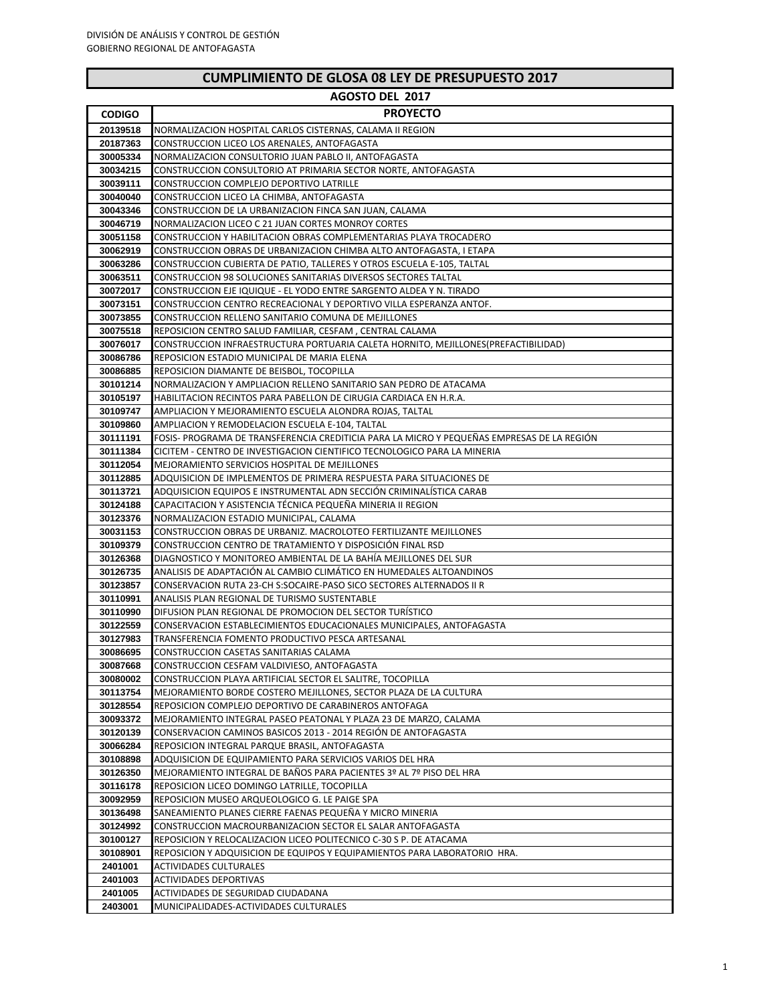| AGOSTO DEL 2017      |                                                                                                                                            |  |
|----------------------|--------------------------------------------------------------------------------------------------------------------------------------------|--|
| <b>CODIGO</b>        | <b>PROYECTO</b>                                                                                                                            |  |
| 20139518             | NORMALIZACION HOSPITAL CARLOS CISTERNAS, CALAMA II REGION                                                                                  |  |
| 20187363             | CONSTRUCCION LICEO LOS ARENALES, ANTOFAGASTA                                                                                               |  |
| 30005334             | NORMALIZACION CONSULTORIO JUAN PABLO II, ANTOFAGASTA                                                                                       |  |
| 30034215             | CONSTRUCCION CONSULTORIO AT PRIMARIA SECTOR NORTE, ANTOFAGASTA                                                                             |  |
| 30039111             | CONSTRUCCION COMPLEJO DEPORTIVO LATRILLE                                                                                                   |  |
| 30040040             | CONSTRUCCION LICEO LA CHIMBA, ANTOFAGASTA                                                                                                  |  |
| 30043346             | CONSTRUCCION DE LA URBANIZACION FINCA SAN JUAN, CALAMA                                                                                     |  |
| 30046719             | NORMALIZACION LICEO C 21 JUAN CORTES MONROY CORTES                                                                                         |  |
| 30051158             | CONSTRUCCION Y HABILITACION OBRAS COMPLEMENTARIAS PLAYA TROCADERO                                                                          |  |
| 30062919             | CONSTRUCCION OBRAS DE URBANIZACION CHIMBA ALTO ANTOFAGASTA, I ETAPA                                                                        |  |
| 30063286             | CONSTRUCCION CUBIERTA DE PATIO, TALLERES Y OTROS ESCUELA E-105, TALTAL                                                                     |  |
| 30063511<br>30072017 | CONSTRUCCION 98 SOLUCIONES SANITARIAS DIVERSOS SECTORES TALTAL                                                                             |  |
| 30073151             | CONSTRUCCION EJE IQUIQUE - EL YODO ENTRE SARGENTO ALDEA Y N. TIRADO<br>CONSTRUCCION CENTRO RECREACIONAL Y DEPORTIVO VILLA ESPERANZA ANTOF. |  |
| 30073855             | CONSTRUCCION RELLENO SANITARIO COMUNA DE MEJILLONES                                                                                        |  |
| 30075518             | REPOSICION CENTRO SALUD FAMILIAR, CESFAM, CENTRAL CALAMA                                                                                   |  |
| 30076017             | CONSTRUCCION INFRAESTRUCTURA PORTUARIA CALETA HORNITO, MEJILLONES(PREFACTIBILIDAD)                                                         |  |
| 30086786             | REPOSICION ESTADIO MUNICIPAL DE MARIA ELENA                                                                                                |  |
| 30086885             | REPOSICION DIAMANTE DE BEISBOL, TOCOPILLA                                                                                                  |  |
| 30101214             | NORMALIZACION Y AMPLIACION RELLENO SANITARIO SAN PEDRO DE ATACAMA                                                                          |  |
| 30105197             | HABILITACION RECINTOS PARA PABELLON DE CIRUGIA CARDIACA EN H.R.A.                                                                          |  |
| 30109747             | AMPLIACION Y MEJORAMIENTO ESCUELA ALONDRA ROJAS, TALTAL                                                                                    |  |
| 30109860             | AMPLIACION Y REMODELACION ESCUELA E-104, TALTAL                                                                                            |  |
| 30111191             | FOSIS- PROGRAMA DE TRANSFERENCIA CREDITICIA PARA LA MICRO Y PEQUEÑAS EMPRESAS DE LA REGIÓN                                                 |  |
| 30111384             | CICITEM - CENTRO DE INVESTIGACION CIENTIFICO TECNOLOGICO PARA LA MINERIA                                                                   |  |
| 30112054             | MEJORAMIENTO SERVICIOS HOSPITAL DE MEJILLONES                                                                                              |  |
| 30112885             | ADQUISICION DE IMPLEMENTOS DE PRIMERA RESPUESTA PARA SITUACIONES DE                                                                        |  |
| 30113721             | ADQUISICION EQUIPOS E INSTRUMENTAL ADN SECCIÓN CRIMINALISTICA CARAB                                                                        |  |
| 30124188             | CAPACITACION Y ASISTENCIA TÉCNICA PEQUEÑA MINERIA II REGION                                                                                |  |
| 30123376             | NORMALIZACION ESTADIO MUNICIPAL, CALAMA                                                                                                    |  |
| 30031153<br>30109379 | CONSTRUCCION OBRAS DE URBANIZ. MACROLOTEO FERTILIZANTE MEJILLONES<br>CONSTRUCCION CENTRO DE TRATAMIENTO Y DISPOSICIÓN FINAL RSD            |  |
| 30126368             | DIAGNOSTICO Y MONITOREO AMBIENTAL DE LA BAHÍA MEJILLONES DEL SUR                                                                           |  |
| 30126735             | ANALISIS DE ADAPTACIÓN AL CAMBIO CLIMÁTICO EN HUMEDALES ALTOANDINOS                                                                        |  |
| 30123857             | CONSERVACION RUTA 23-CH S:SOCAIRE-PASO SICO SECTORES ALTERNADOS II R                                                                       |  |
| 30110991             | ANALISIS PLAN REGIONAL DE TURISMO SUSTENTABLE                                                                                              |  |
| 30110990             | DIFUSION PLAN REGIONAL DE PROMOCION DEL SECTOR TURÍSTICO                                                                                   |  |
| 30122559             | CONSERVACION ESTABLECIMIENTOS EDUCACIONALES MUNICIPALES, ANTOFAGASTA                                                                       |  |
| 30127983             | TRANSFERENCIA FOMENTO PRODUCTIVO PESCA ARTESANAL                                                                                           |  |
| 30086695             | CONSTRUCCION CASETAS SANITARIAS CALAMA                                                                                                     |  |
| 30087668             | CONSTRUCCION CESFAM VALDIVIESO, ANTOFAGASTA                                                                                                |  |
| 30080002             | CONSTRUCCION PLAYA ARTIFICIAL SECTOR EL SALITRE, TOCOPILLA                                                                                 |  |
| 30113754             | MEJORAMIENTO BORDE COSTERO MEJILLONES, SECTOR PLAZA DE LA CULTURA                                                                          |  |
| 30128554             | REPOSICION COMPLEJO DEPORTIVO DE CARABINEROS ANTOFAGA                                                                                      |  |
| 30093372             | MEJORAMIENTO INTEGRAL PASEO PEATONAL Y PLAZA 23 DE MARZO, CALAMA                                                                           |  |
| 30120139             | CONSERVACION CAMINOS BASICOS 2013 - 2014 REGIÓN DE ANTOFAGASTA                                                                             |  |
| 30066284<br>30108898 | REPOSICION INTEGRAL PARQUE BRASIL, ANTOFAGASTA                                                                                             |  |
|                      | ADQUISICION DE EQUIPAMIENTO PARA SERVICIOS VARIOS DEL HRA<br>MEJORAMIENTO INTEGRAL DE BAÑOS PARA PACIENTES 3º AL 7º PISO DEL HRA           |  |
| 30126350<br>30116178 | REPOSICION LICEO DOMINGO LATRILLE, TOCOPILLA                                                                                               |  |
| 30092959             | REPOSICION MUSEO ARQUEOLOGICO G. LE PAIGE SPA                                                                                              |  |
| 30136498             | SANEAMIENTO PLANES CIERRE FAENAS PEQUEÑA Y MICRO MINERIA                                                                                   |  |
| 30124992             | CONSTRUCCION MACROURBANIZACION SECTOR EL SALAR ANTOFAGASTA                                                                                 |  |
| 30100127             | REPOSICION Y RELOCALIZACION LICEO POLITECNICO C-30 S P. DE ATACAMA                                                                         |  |
| 30108901             | REPOSICION Y ADQUISICION DE EQUIPOS Y EQUIPAMIENTOS PARA LABORATORIO HRA.                                                                  |  |
| 2401001              | <b>ACTIVIDADES CULTURALES</b>                                                                                                              |  |
| 2401003              | <b>ACTIVIDADES DEPORTIVAS</b>                                                                                                              |  |
| 2401005              | ACTIVIDADES DE SEGURIDAD CIUDADANA                                                                                                         |  |
| 2403001              | MUNICIPALIDADES-ACTIVIDADES CULTURALES                                                                                                     |  |

# **CUMPLIMIENTO DE GLOSA 08 LEY DE PRESUPUESTO 2017**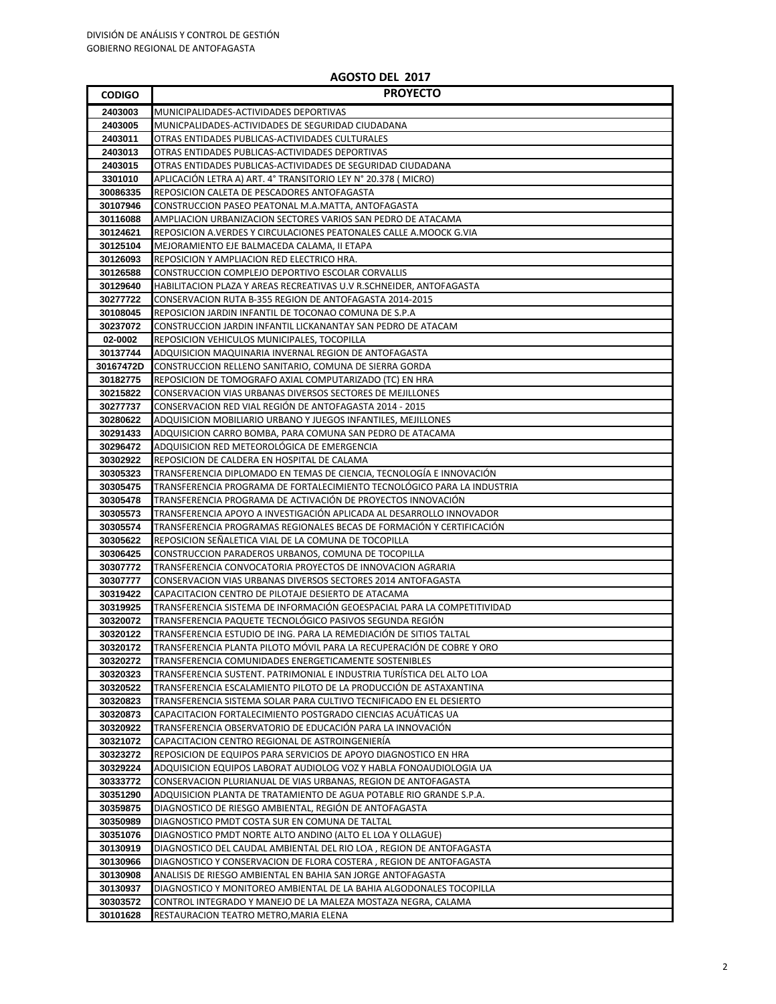| <b>CODIGO</b>        | <b>PROYECTO</b>                                                                                                                |
|----------------------|--------------------------------------------------------------------------------------------------------------------------------|
| 2403003              | MUNICIPALIDADES-ACTIVIDADES DEPORTIVAS                                                                                         |
| 2403005              | MUNICPALIDADES-ACTIVIDADES DE SEGURIDAD CIUDADANA                                                                              |
| 2403011              | OTRAS ENTIDADES PUBLICAS-ACTIVIDADES CULTURALES                                                                                |
| 2403013              | OTRAS ENTIDADES PUBLICAS-ACTIVIDADES DEPORTIVAS                                                                                |
| 2403015              | OTRAS ENTIDADES PUBLICAS-ACTIVIDADES DE SEGURIDAD CIUDADANA                                                                    |
| 3301010              | APLICACIÓN LETRA A) ART. 4º TRANSITORIO LEY Nº 20.378 ( MICRO)                                                                 |
| 30086335             | REPOSICION CALETA DE PESCADORES ANTOFAGASTA                                                                                    |
| 30107946             | CONSTRUCCION PASEO PEATONAL M.A.MATTA, ANTOFAGASTA                                                                             |
| 30116088             | AMPLIACION URBANIZACION SECTORES VARIOS SAN PEDRO DE ATACAMA                                                                   |
| 30124621             | REPOSICION A.VERDES Y CIRCULACIONES PEATONALES CALLE A.MOOCK G.VIA                                                             |
| 30125104             | MEJORAMIENTO EJE BALMACEDA CALAMA, II ETAPA                                                                                    |
| 30126093             | REPOSICION Y AMPLIACION RED ELECTRICO HRA.                                                                                     |
| 30126588             | CONSTRUCCION COMPLEJO DEPORTIVO ESCOLAR CORVALLIS                                                                              |
| 30129640             | HABILITACION PLAZA Y AREAS RECREATIVAS U.V R.SCHNEIDER, ANTOFAGASTA                                                            |
| 30277722             | CONSERVACION RUTA B-355 REGION DE ANTOFAGASTA 2014-2015                                                                        |
| 30108045             | REPOSICION JARDIN INFANTIL DE TOCONAO COMUNA DE S.P.A                                                                          |
| 30237072             | CONSTRUCCION JARDIN INFANTIL LICKANANTAY SAN PEDRO DE ATACAM                                                                   |
| 02-0002              | REPOSICION VEHICULOS MUNICIPALES, TOCOPILLA                                                                                    |
| 30137744             | ADQUISICION MAQUINARIA INVERNAL REGION DE ANTOFAGASTA                                                                          |
| 30167472D            | CONSTRUCCION RELLENO SANITARIO, COMUNA DE SIERRA GORDA                                                                         |
| 30182775             | REPOSICION DE TOMOGRAFO AXIAL COMPUTARIZADO (TC) EN HRA                                                                        |
| 30215822             | <b>CONSERVACION VIAS URBANAS DIVERSOS SECTORES DE MEJILLONES</b>                                                               |
| 30277737             | CONSERVACION RED VIAL REGIÓN DE ANTOFAGASTA 2014 - 2015                                                                        |
| 30280622             | ADQUISICION MOBILIARIO URBANO Y JUEGOS INFANTILES, MEJILLONES                                                                  |
| 30291433             | ADQUISICION CARRO BOMBA, PARA COMUNA SAN PEDRO DE ATACAMA                                                                      |
| 30296472             | ADQUISICION RED METEOROLÓGICA DE EMERGENCIA                                                                                    |
| 30302922             | REPOSICION DE CALDERA EN HOSPITAL DE CALAMA                                                                                    |
| 30305323             | TRANSFERENCIA DIPLOMADO EN TEMAS DE CIENCIA, TECNOLOGÍA E INNOVACIÓN                                                           |
| 30305475             | TRANSFERENCIA PROGRAMA DE FORTALECIMIENTO TECNOLÓGICO PARA LA INDUSTRIA                                                        |
| 30305478             | TRANSFERENCIA PROGRAMA DE ACTIVACIÓN DE PROYECTOS INNOVACIÓN                                                                   |
| 30305573             | TRANSFERENCIA APOYO A INVESTIGACIÓN APLICADA AL DESARROLLO INNOVADOR                                                           |
| 30305574             | TRANSFERENCIA PROGRAMAS REGIONALES BECAS DE FORMACIÓN Y CERTIFICACIÓN                                                          |
| 30305622             | REPOSICION SEÑALETICA VIAL DE LA COMUNA DE TOCOPILLA                                                                           |
| 30306425             | CONSTRUCCION PARADEROS URBANOS, COMUNA DE TOCOPILLA                                                                            |
| 30307772             | TRANSFERENCIA CONVOCATORIA PROYECTOS DE INNOVACION AGRARIA                                                                     |
| 30307777             | CONSERVACION VIAS URBANAS DIVERSOS SECTORES 2014 ANTOFAGASTA                                                                   |
| 30319422             | CAPACITACION CENTRO DE PILOTAJE DESIERTO DE ATACAMA                                                                            |
| 30319925             | TRANSFERENCIA SISTEMA DE INFORMACIÓN GEOESPACIAL PARA LA COMPETITIVIDAD                                                        |
| 30320072<br>30320122 | TRANSFERENCIA PAQUETE TECNOLÓGICO PASIVOS SEGUNDA REGIÓN<br>TRANSFERENCIA ESTUDIO DE ING. PARA LA REMEDIACIÓN DE SITIOS TALTAL |
| 30320172             | TRANSFERENCIA PLANTA PILOTO MÓVIL PARA LA RECUPERACIÓN DE COBRE Y ORO                                                          |
| 30320272             | TRANSFERENCIA COMUNIDADES ENERGETICAMENTE SOSTENIBLES                                                                          |
| 30320323             | TRANSFERENCIA SUSTENT. PATRIMONIAL E INDUSTRIA TURÍSTICA DEL ALTO LOA                                                          |
| 30320522             | TRANSFERENCIA ESCALAMIENTO PILOTO DE LA PRODUCCIÓN DE ASTAXANTINA                                                              |
| 30320823             | TRANSFERENCIA SISTEMA SOLAR PARA CULTIVO TECNIFICADO EN EL DESIERTO                                                            |
| 30320873             | CAPACITACION FORTALECIMIENTO POSTGRADO CIENCIAS ACUÁTICAS UA                                                                   |
| 30320922             | TRANSFERENCIA OBSERVATORIO DE EDUCACIÓN PARA LA INNOVACIÓN                                                                     |
| 30321072             | CAPACITACION CENTRO REGIONAL DE ASTROINGENIERÍA                                                                                |
| 30323272             | REPOSICION DE EQUIPOS PARA SERVICIOS DE APOYO DIAGNOSTICO EN HRA                                                               |
| 30329224             | ADQUISICION EQUIPOS LABORAT AUDIOLOG VOZ Y HABLA FONOAUDIOLOGIA UA                                                             |
| 30333772             | CONSERVACION PLURIANUAL DE VIAS URBANAS, REGION DE ANTOFAGASTA                                                                 |
| 30351290             | ADQUISICION PLANTA DE TRATAMIENTO DE AGUA POTABLE RIO GRANDE S.P.A.                                                            |
| 30359875             | DIAGNOSTICO DE RIESGO AMBIENTAL, REGIÓN DE ANTOFAGASTA                                                                         |
| 30350989             | DIAGNOSTICO PMDT COSTA SUR EN COMUNA DE TALTAL                                                                                 |
| 30351076             | DIAGNOSTICO PMDT NORTE ALTO ANDINO (ALTO EL LOA Y OLLAGUE)                                                                     |
| 30130919             | DIAGNOSTICO DEL CAUDAL AMBIENTAL DEL RIO LOA, REGION DE ANTOFAGASTA                                                            |
| 30130966             | DIAGNOSTICO Y CONSERVACION DE FLORA COSTERA, REGION DE ANTOFAGASTA                                                             |
| 30130908             | ANALISIS DE RIESGO AMBIENTAL EN BAHIA SAN JORGE ANTOFAGASTA                                                                    |
| 30130937             | DIAGNOSTICO Y MONITOREO AMBIENTAL DE LA BAHIA ALGODONALES TOCOPILLA                                                            |
| 30303572             | CONTROL INTEGRADO Y MANEJO DE LA MALEZA MOSTAZA NEGRA, CALAMA                                                                  |
| 30101628             | RESTAURACION TEATRO METRO, MARIA ELENA                                                                                         |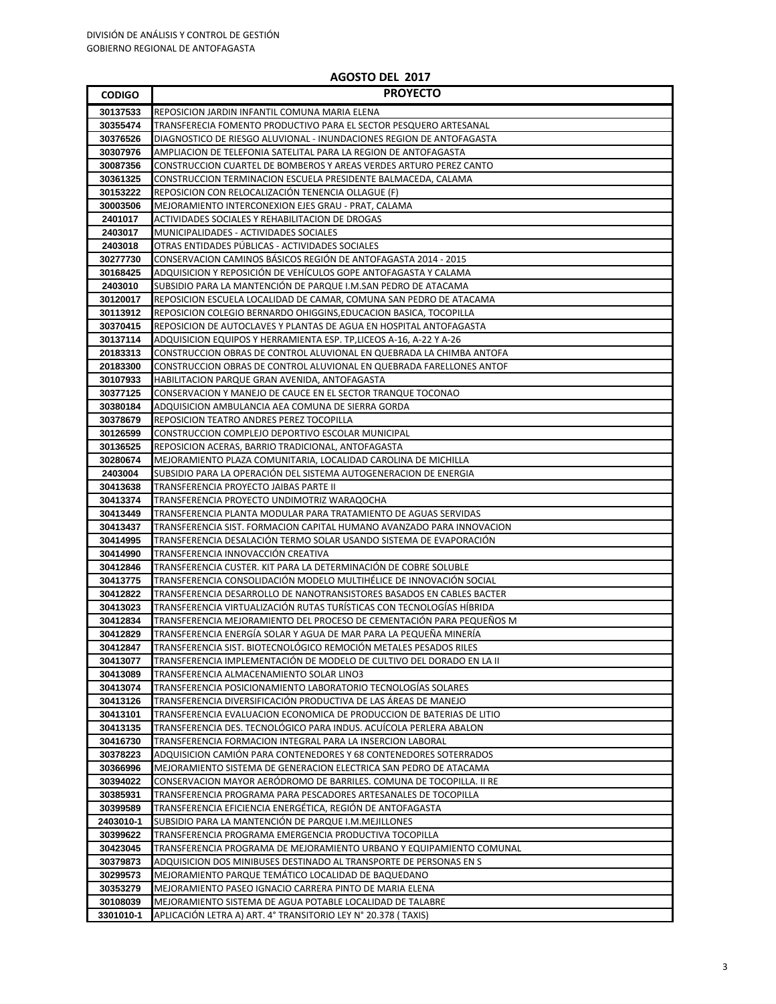| <b>CODIGO</b>        | <b>PROYECTO</b>                                                                                                                          |
|----------------------|------------------------------------------------------------------------------------------------------------------------------------------|
| 30137533             | REPOSICION JARDIN INFANTIL COMUNA MARIA ELENA                                                                                            |
| 30355474             | TRANSFERECIA FOMENTO PRODUCTIVO PARA EL SECTOR PESQUERO ARTESANAL                                                                        |
| 30376526             | DIAGNOSTICO DE RIESGO ALUVIONAL - INUNDACIONES REGION DE ANTOFAGASTA                                                                     |
| 30307976             | AMPLIACION DE TELEFONIA SATELITAL PARA LA REGION DE ANTOFAGASTA                                                                          |
| 30087356             | CONSTRUCCION CUARTEL DE BOMBEROS Y AREAS VERDES ARTURO PEREZ CANTO                                                                       |
| 30361325             | CONSTRUCCION TERMINACION ESCUELA PRESIDENTE BALMACEDA, CALAMA                                                                            |
| 30153222             | REPOSICION CON RELOCALIZACIÓN TENENCIA OLLAGUE (F)                                                                                       |
| 30003506             | MEJORAMIENTO INTERCONEXION EJES GRAU - PRAT, CALAMA                                                                                      |
| 2401017              | ACTIVIDADES SOCIALES Y REHABILITACION DE DROGAS                                                                                          |
| 2403017              | MUNICIPALIDADES - ACTIVIDADES SOCIALES                                                                                                   |
| 2403018              | OTRAS ENTIDADES PÚBLICAS - ACTIVIDADES SOCIALES                                                                                          |
| 30277730             | CONSERVACION CAMINOS BÁSICOS REGIÓN DE ANTOFAGASTA 2014 - 2015                                                                           |
| 30168425             | ADQUISICION Y REPOSICIÓN DE VEHÍCULOS GOPE ANTOFAGASTA Y CALAMA                                                                          |
| 2403010<br>30120017  | SUBSIDIO PARA LA MANTENCIÓN DE PARQUE I.M.SAN PEDRO DE ATACAMA                                                                           |
| 30113912             | REPOSICION ESCUELA LOCALIDAD DE CAMAR, COMUNA SAN PEDRO DE ATACAMA<br>REPOSICION COLEGIO BERNARDO OHIGGINS, EDUCACION BASICA, TOCOPILLA  |
| 30370415             | REPOSICION DE AUTOCLAVES Y PLANTAS DE AGUA EN HOSPITAL ANTOFAGASTA                                                                       |
| 30137114             | ADQUISICION EQUIPOS Y HERRAMIENTA ESP. TP, LICEOS A-16, A-22 Y A-26                                                                      |
| 20183313             | CONSTRUCCION OBRAS DE CONTROL ALUVIONAL EN QUEBRADA LA CHIMBA ANTOFA                                                                     |
| 20183300             | CONSTRUCCION OBRAS DE CONTROL ALUVIONAL EN QUEBRADA FARELLONES ANTOF                                                                     |
| 30107933             | HABILITACION PARQUE GRAN AVENIDA, ANTOFAGASTA                                                                                            |
| 30377125             | CONSERVACION Y MANEJO DE CAUCE EN EL SECTOR TRANQUE TOCONAO                                                                              |
| 30380184             | ADQUISICION AMBULANCIA AEA COMUNA DE SIERRA GORDA                                                                                        |
| 30378679             | REPOSICION TEATRO ANDRES PEREZ TOCOPILLA                                                                                                 |
| 30126599             | CONSTRUCCION COMPLEJO DEPORTIVO ESCOLAR MUNICIPAL                                                                                        |
| 30136525             | REPOSICION ACERAS, BARRIO TRADICIONAL, ANTOFAGASTA                                                                                       |
| 30280674             | MEJORAMIENTO PLAZA COMUNITARIA, LOCALIDAD CAROLINA DE MICHILLA                                                                           |
| 2403004              | SUBSIDIO PARA LA OPERACIÓN DEL SISTEMA AUTOGENERACION DE ENERGIA                                                                         |
| 30413638             | TRANSFERENCIA PROYECTO JAIBAS PARTE II                                                                                                   |
| 30413374<br>30413449 | TRANSFERENCIA PROYECTO UNDIMOTRIZ WARAQOCHA                                                                                              |
| 30413437             | TRANSFERENCIA PLANTA MODULAR PARA TRATAMIENTO DE AGUAS SERVIDAS<br>TRANSFERENCIA SIST. FORMACION CAPITAL HUMANO AVANZADO PARA INNOVACION |
| 30414995             | TRANSFERENCIA DESALACIÓN TERMO SOLAR USANDO SISTEMA DE EVAPORACIÓN                                                                       |
| 30414990             | TRANSFERENCIA INNOVACCIÓN CREATIVA                                                                                                       |
| 30412846             | TRANSFERENCIA CUSTER. KIT PARA LA DETERMINACIÓN DE COBRE SOLUBLE                                                                         |
| 30413775             | TRANSFERENCIA CONSOLIDACIÓN MODELO MULTIHÉLICE DE INNOVACIÓN SOCIAL                                                                      |
| 30412822             | TRANSFERENCIA DESARROLLO DE NANOTRANSISTORES BASADOS EN CABLES BACTER                                                                    |
| 30413023             | TRANSFERENCIA VIRTUALIZACIÓN RUTAS TURÍSTICAS CON TECNOLOGÍAS HÍBRIDA                                                                    |
| 30412834             | TRANSFERENCIA MEJORAMIENTO DEL PROCESO DE CEMENTACIÓN PARA PEQUEÑOS M                                                                    |
| 30412829             | TRANSFERENCIA ENERGÍA SOLAR Y AGUA DE MAR PARA LA PEQUEÑA MINERÍA                                                                        |
| 30412847             | TRANSFERENCIA SIST. BIOTECNOLOGICO REMOCIÓN METALES PESADOS RILES                                                                        |
| 30413077             | TRANSFERENCIA IMPLEMENTACIÓN DE MODELO DE CULTIVO DEL DORADO EN LA II                                                                    |
| 30413089             | TRANSFERENCIA ALMACENAMIENTO SOLAR LINO3                                                                                                 |
| 30413074             | TRANSFERENCIA POSICIONAMIENTO LABORATORIO TECNOLOGÍAS SOLARES                                                                            |
| 30413126<br>30413101 | TRANSFERENCIA DIVERSIFICACIÓN PRODUCTIVA DE LAS ÁREAS DE MANEJO<br>TRANSFERENCIA EVALUACION ECONOMICA DE PRODUCCION DE BATERIAS DE LITIO |
| 30413135             | TRANSFERENCIA DES. TECNOLÓGICO PARA INDUS. ACUÍCOLA PERLERA ABALON                                                                       |
| 30416730             | TRANSFERENCIA FORMACION INTEGRAL PARA LA INSERCION LABORAL                                                                               |
| 30378223             | ADQUISICION CAMIÓN PARA CONTENEDORES Y 68 CONTENEDORES SOTERRADOS                                                                        |
| 30366996             | MEJORAMIENTO SISTEMA DE GENERACION ELECTRICA SAN PEDRO DE ATACAMA                                                                        |
| 30394022             | CONSERVACION MAYOR AERÓDROMO DE BARRILES. COMUNA DE TOCOPILLA. II RE                                                                     |
| 30385931             | TRANSFERENCIA PROGRAMA PARA PESCADORES ARTESANALES DE TOCOPILLA                                                                          |
| 30399589             | TRANSFERENCIA EFICIENCIA ENERGÉTICA, REGIÓN DE ANTOFAGASTA                                                                               |
| 2403010-1            | SUBSIDIO PARA LA MANTENCIÓN DE PARQUE I.M.MEJILLONES                                                                                     |
| 30399622             | TRANSFERENCIA PROGRAMA EMERGENCIA PRODUCTIVA TOCOPILLA                                                                                   |
| 30423045             | TRANSFERENCIA PROGRAMA DE MEJORAMIENTO URBANO Y EQUIPAMIENTO COMUNAL                                                                     |
| 30379873             | ADQUISICION DOS MINIBUSES DESTINADO AL TRANSPORTE DE PERSONAS EN S                                                                       |
| 30299573             | MEJORAMIENTO PARQUE TEMÁTICO LOCALIDAD DE BAQUEDANO                                                                                      |
| 30353279             | MEJORAMIENTO PASEO IGNACIO CARRERA PINTO DE MARIA ELENA                                                                                  |
| 30108039             | MEJORAMIENTO SISTEMA DE AGUA POTABLE LOCALIDAD DE TALABRE                                                                                |
| 3301010-1            | APLICACIÓN LETRA A) ART. 4° TRANSITORIO LEY N° 20.378 (TAXIS)                                                                            |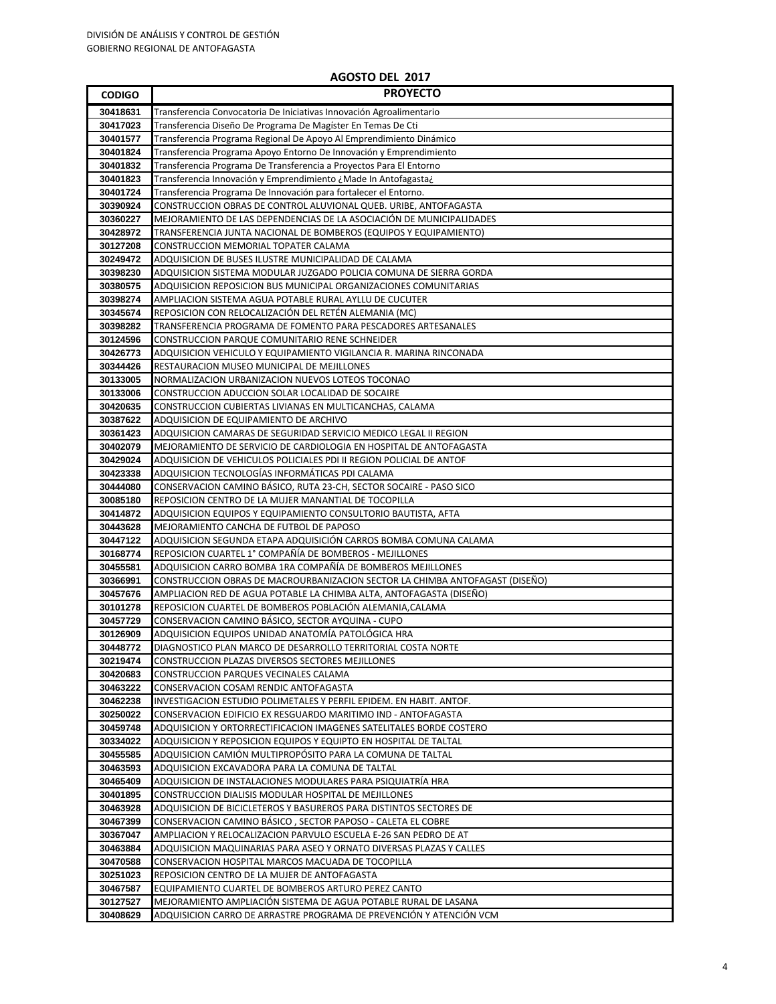| <b>CODIGO</b>        | <b>PROYECTO</b>                                                                                                       |
|----------------------|-----------------------------------------------------------------------------------------------------------------------|
| 30418631             | Transferencia Convocatoria De Iniciativas Innovación Agroalimentario                                                  |
| 30417023             | Transferencia Diseño De Programa De Magíster En Temas De Cti                                                          |
| 30401577             | Transferencia Programa Regional De Apoyo Al Emprendimiento Dinámico                                                   |
| 30401824             | Transferencia Programa Apoyo Entorno De Innovación y Emprendimiento                                                   |
| 30401832             | Transferencia Programa De Transferencia a Proyectos Para El Entorno                                                   |
| 30401823             | Transferencia Innovación y Emprendimiento ¿Made In Antofagasta¿                                                       |
| 30401724             | Transferencia Programa De Innovación para fortalecer el Entorno.                                                      |
| 30390924             | CONSTRUCCION OBRAS DE CONTROL ALUVIONAL QUEB. URIBE, ANTOFAGASTA                                                      |
| 30360227             | MEJORAMIENTO DE LAS DEPENDENCIAS DE LA ASOCIACIÓN DE MUNICIPALIDADES                                                  |
| 30428972             | TRANSFERENCIA JUNTA NACIONAL DE BOMBEROS (EQUIPOS Y EQUIPAMIENTO)                                                     |
| 30127208             | CONSTRUCCION MEMORIAL TOPATER CALAMA                                                                                  |
| 30249472             | ADQUISICION DE BUSES ILUSTRE MUNICIPALIDAD DE CALAMA                                                                  |
| 30398230             | ADQUISICION SISTEMA MODULAR JUZGADO POLICIA COMUNA DE SIERRA GORDA                                                    |
| 30380575             | ADQUISICION REPOSICION BUS MUNICIPAL ORGANIZACIONES COMUNITARIAS                                                      |
| 30398274             | AMPLIACION SISTEMA AGUA POTABLE RURAL AYLLU DE CUCUTER                                                                |
| 30345674             | REPOSICION CON RELOCALIZACIÓN DEL RETÉN ALEMANIA (MC)                                                                 |
| 30398282             | TRANSFERENCIA PROGRAMA DE FOMENTO PARA PESCADORES ARTESANALES                                                         |
| 30124596             | CONSTRUCCION PARQUE COMUNITARIO RENE SCHNEIDER                                                                        |
| 30426773             | ADQUISICION VEHICULO Y EQUIPAMIENTO VIGILANCIA R. MARINA RINCONADA                                                    |
| 30344426             | RESTAURACION MUSEO MUNICIPAL DE MEJILLONES                                                                            |
| 30133005             | NORMALIZACION URBANIZACION NUEVOS LOTEOS TOCONAO                                                                      |
| 30133006             | CONSTRUCCION ADUCCION SOLAR LOCALIDAD DE SOCAIRE                                                                      |
| 30420635             | CONSTRUCCION CUBIERTAS LIVIANAS EN MULTICANCHAS, CALAMA                                                               |
| 30387622             | ADQUISICION DE EQUIPAMIENTO DE ARCHIVO                                                                                |
| 30361423             | ADQUISICION CAMARAS DE SEGURIDAD SERVICIO MEDICO LEGAL II REGION                                                      |
| 30402079             | MEJORAMIENTO DE SERVICIO DE CARDIOLOGIA EN HOSPITAL DE ANTOFAGASTA                                                    |
| 30429024             | ADQUISICION DE VEHICULOS POLICIALES PDI II REGION POLICIAL DE ANTOF                                                   |
| 30423338             | ADQUISICION TECNOLOGÍAS INFORMÁTICAS PDI CALAMA<br>CONSERVACION CAMINO BÁSICO, RUTA 23-CH, SECTOR SOCAIRE - PASO SICO |
| 30444080<br>30085180 | REPOSICION CENTRO DE LA MUJER MANANTIAL DE TOCOPILLA                                                                  |
| 30414872             | ADQUISICION EQUIPOS Y EQUIPAMIENTO CONSULTORIO BAUTISTA, AFTA                                                         |
| 30443628             | MEJORAMIENTO CANCHA DE FUTBOL DE PAPOSO                                                                               |
| 30447122             | ADQUISICION SEGUNDA ETAPA ADQUISICIÓN CARROS BOMBA COMUNA CALAMA                                                      |
| 30168774             | REPOSICION CUARTEL 1° COMPAÑÍA DE BOMBEROS - MEJILLONES                                                               |
| 30455581             | ADQUISICION CARRO BOMBA 1RA COMPAÑÍA DE BOMBEROS MEJILLONES                                                           |
| 30366991             | CONSTRUCCION OBRAS DE MACROURBANIZACION SECTOR LA CHIMBA ANTOFAGAST (DISEÑO)                                          |
| 30457676             | AMPLIACION RED DE AGUA POTABLE LA CHIMBA ALTA, ANTOFAGASTA (DISEÑO)                                                   |
| 30101278             | REPOSICION CUARTEL DE BOMBEROS POBLACIÓN ALEMANIA,CALAMA                                                              |
| 30457729             | CONSERVACION CAMINO BÁSICO, SECTOR AYQUINA - CUPO                                                                     |
| 30126909             | ADQUISICION EQUIPOS UNIDAD ANATOMÍA PATOLÓGICA HRA                                                                    |
| 30448772             | DIAGNOSTICO PLAN MARCO DE DESARROLLO TERRITORIAL COSTA NORTE                                                          |
| 30219474             | CONSTRUCCION PLAZAS DIVERSOS SECTORES MEJILLONES                                                                      |
| 30420683             | CONSTRUCCION PARQUES VECINALES CALAMA                                                                                 |
| 30463222             | CONSERVACION COSAM RENDIC ANTOFAGASTA                                                                                 |
| 30462238             | INVESTIGACION ESTUDIO POLIMETALES Y PERFIL EPIDEM. EN HABIT. ANTOF.                                                   |
| 30250022             | CONSERVACION EDIFICIO EX RESGUARDO MARITIMO IND - ANTOFAGASTA                                                         |
| 30459748             | ADQUISICION Y ORTORRECTIFICACION IMAGENES SATELITALES BORDE COSTERO                                                   |
| 30334022             | ADQUISICION Y REPOSICION EQUIPOS Y EQUIPTO EN HOSPITAL DE TALTAL                                                      |
| 30455585             | ADQUISICION CAMIÓN MULTIPROPÓSITO PARA LA COMUNA DE TALTAL                                                            |
| 30463593             | ADQUISICION EXCAVADORA PARA LA COMUNA DE TALTAL                                                                       |
| 30465409             | ADQUISICION DE INSTALACIONES MODULARES PARA PSIQUIATRÍA HRA                                                           |
| 30401895             | CONSTRUCCION DIALISIS MODULAR HOSPITAL DE MEJILLONES                                                                  |
| 30463928             | ADQUISICION DE BICICLETEROS Y BASUREROS PARA DISTINTOS SECTORES DE                                                    |
| 30467399             | CONSERVACION CAMINO BÁSICO , SECTOR PAPOSO - CALETA EL COBRE                                                          |
| 30367047             | AMPLIACION Y RELOCALIZACION PARVULO ESCUELA E-26 SAN PEDRO DE AT                                                      |
| 30463884             | ADQUISICION MAQUINARIAS PARA ASEO Y ORNATO DIVERSAS PLAZAS Y CALLES                                                   |
| 30470588<br>30251023 | CONSERVACION HOSPITAL MARCOS MACUADA DE TOCOPILLA<br>REPOSICION CENTRO DE LA MUJER DE ANTOFAGASTA                     |
| 30467587             | EQUIPAMIENTO CUARTEL DE BOMBEROS ARTURO PEREZ CANTO                                                                   |
| 30127527             | MEJORAMIENTO AMPLIACIÓN SISTEMA DE AGUA POTABLE RURAL DE LASANA                                                       |
| 30408629             | ADQUISICION CARRO DE ARRASTRE PROGRAMA DE PREVENCIÓN Y ATENCIÓN VCM                                                   |
|                      |                                                                                                                       |